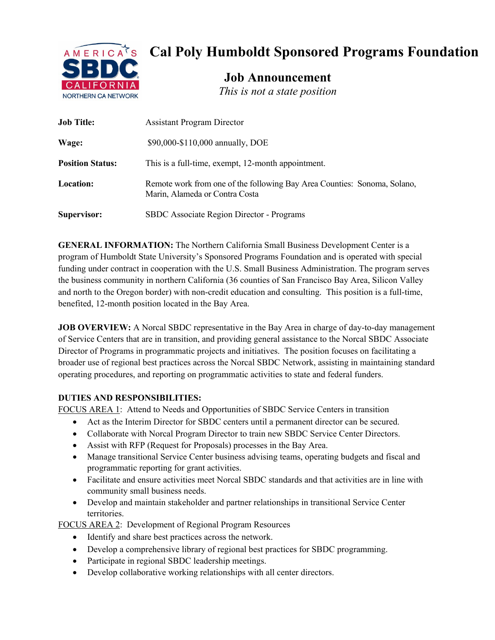

# **Cal Poly Humboldt Sponsored Programs Foundation**

**Job Announcement**

|  |  |  |  |  | This is not a state position |
|--|--|--|--|--|------------------------------|
|--|--|--|--|--|------------------------------|

| <b>Job Title:</b>       | <b>Assistant Program Director</b>                                                                          |  |  |
|-------------------------|------------------------------------------------------------------------------------------------------------|--|--|
| Wage:                   | \$90,000-\$110,000 annually, DOE                                                                           |  |  |
| <b>Position Status:</b> | This is a full-time, exempt, 12-month appointment.                                                         |  |  |
| <b>Location:</b>        | Remote work from one of the following Bay Area Counties: Sonoma, Solano,<br>Marin, Alameda or Contra Costa |  |  |
| Supervisor:             | SBDC Associate Region Director - Programs                                                                  |  |  |

**GENERAL INFORMATION:** The Northern California Small Business Development Center is a program of Humboldt State University's Sponsored Programs Foundation and is operated with special funding under contract in cooperation with the U.S. Small Business Administration. The program serves the business community in northern California (36 counties of San Francisco Bay Area, Silicon Valley and north to the Oregon border) with non-credit education and consulting. This position is a full-time, benefited, 12-month position located in the Bay Area.

**JOB OVERVIEW:** A Norcal SBDC representative in the Bay Area in charge of day-to-day management of Service Centers that are in transition, and providing general assistance to the Norcal SBDC Associate Director of Programs in programmatic projects and initiatives. The position focuses on facilitating a broader use of regional best practices across the Norcal SBDC Network, assisting in maintaining standard operating procedures, and reporting on programmatic activities to state and federal funders.

## **DUTIES AND RESPONSIBILITIES:**

FOCUS AREA 1: Attend to Needs and Opportunities of SBDC Service Centers in transition

- Act as the Interim Director for SBDC centers until a permanent director can be secured.
- Collaborate with Norcal Program Director to train new SBDC Service Center Directors.
- Assist with RFP (Request for Proposals) processes in the Bay Area.
- Manage transitional Service Center business advising teams, operating budgets and fiscal and programmatic reporting for grant activities.
- Facilitate and ensure activities meet Norcal SBDC standards and that activities are in line with community small business needs.
- Develop and maintain stakeholder and partner relationships in transitional Service Center territories.

FOCUS AREA 2: Development of Regional Program Resources

- Identify and share best practices across the network.
- Develop a comprehensive library of regional best practices for SBDC programming.
- Participate in regional SBDC leadership meetings.
- Develop collaborative working relationships with all center directors.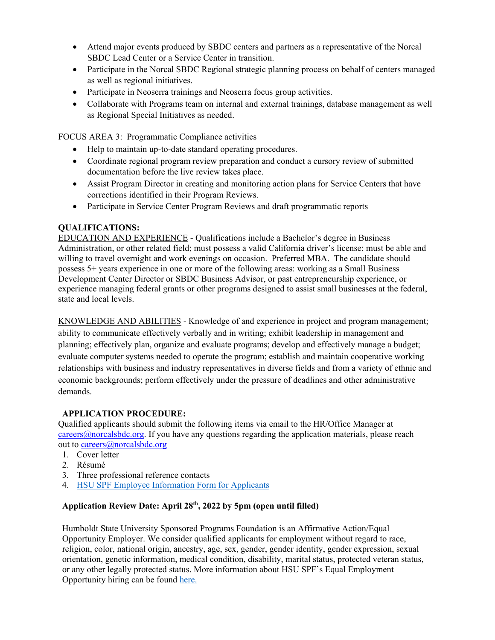- Attend major events produced by SBDC centers and partners as a representative of the Norcal SBDC Lead Center or a Service Center in transition.
- Participate in the Norcal SBDC Regional strategic planning process on behalf of centers managed as well as regional initiatives.
- Participate in Neoserra trainings and Neoserra focus group activities.
- Collaborate with Programs team on internal and external trainings, database management as well as Regional Special Initiatives as needed.

FOCUS AREA 3: Programmatic Compliance activities

- Help to maintain up-to-date standard operating procedures.
- Coordinate regional program review preparation and conduct a cursory review of submitted documentation before the live review takes place.
- Assist Program Director in creating and monitoring action plans for Service Centers that have corrections identified in their Program Reviews.
- Participate in Service Center Program Reviews and draft programmatic reports

## **QUALIFICATIONS:**

EDUCATION AND EXPERIENCE - Qualifications include a Bachelor's degree in Business Administration, or other related field; must possess a valid California driver's license; must be able and willing to travel overnight and work evenings on occasion. Preferred MBA. The candidate should possess 5+ years experience in one or more of the following areas: working as a Small Business Development Center Director or SBDC Business Advisor, or past entrepreneurship experience, or experience managing federal grants or other programs designed to assist small businesses at the federal, state and local levels.

KNOWLEDGE AND ABILITIES - Knowledge of and experience in project and program management; ability to communicate effectively verbally and in writing; exhibit leadership in management and planning; effectively plan, organize and evaluate programs; develop and effectively manage a budget; evaluate computer systems needed to operate the program; establish and maintain cooperative working relationships with business and industry representatives in diverse fields and from a variety of ethnic and economic backgrounds; perform effectively under the pressure of deadlines and other administrative demands.

### **APPLICATION PROCEDURE:**

Qualified applicants should submit the following items via email to the HR/Office Manager at [careers@norcalsbdc.org.](mailto:mcareers@norcalsbdc.org) If you have any questions regarding the application materials, please reach out to [careers@norcalsbdc.org](mailto:mcareers@norcalsbdc.org)

- 1. Cover letter
- 2. Résumé
- 3. Three professional reference contacts
- 4. [HSU SPF Employee Information Form for Applicants](https://www2.humboldt.edu/forms/node/1084)

### **Application Review Date: April 28th, 2022 by 5pm (open until filled)**

Humboldt State University Sponsored Programs Foundation is an Affirmative Action/Equal Opportunity Employer. We consider qualified applicants for employment without regard to race, religion, color, national origin, ancestry, age, sex, gender, gender identity, gender expression, sexual orientation, genetic information, medical condition, disability, marital status, protected veteran status, or any other legally protected status. More information about HSU SPF's Equal Employment Opportunity hiring can be found [here.](http://www2.humboldt.edu/hsuf/pdf%20forms/Employment%20Notices/HSU%20SPF%20Equal%20Opportunity%20Employment-Affirmative%20Action%20Policy.pdf)